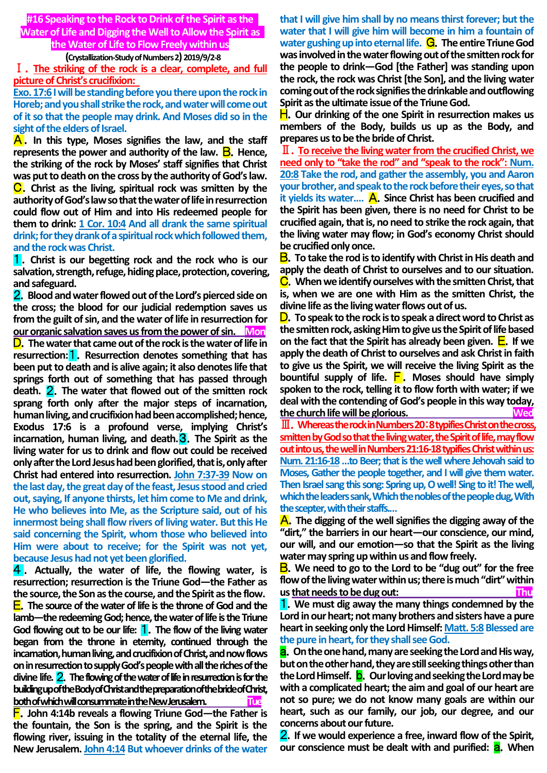**#16 Speaking to the Rock to Drink of the Spirit as the Water of Life and Digging the Well to Allow the Spirit as the Water of Life to Flow Freely within us**

## **(Crystallization-Study of Numbers 2) 2019/9/2-8**

Ⅰ.**The striking of the rock is a clear, complete, and full picture of Christ's crucifixion:** 

**Exo. 17:6 I will be standing before you there upon the rock in Horeb; and you shall strike the rock, and water will come out of it so that the people may drink. And Moses did so in the sight of the elders of Israel.**

A.**In this type, Moses signifies the law, and the staff represents the power and authority of the law. <b>B**. Hence, **the striking of the rock by Moses' staff signifies that Christ was put to death on the cross by the authority of God's law.**  C.**Christ as the living, spiritual rock was smitten by the authority of God's law so that the water of life in resurrection could flow out of Him and into His redeemed people for them to drink: 1 Cor. 10:4 And all drank the same spiritual drink; for they drank of a spiritual rock which followed them, and the rock was Christ.**

1.**Christ is our begetting rock and the rock who is our salvation, strength, refuge, hiding place, protection, covering, and safeguard.**

2.**Blood and water flowed out of the Lord's pierced side on the cross; the blood for our judicial redemption saves us from the guilt of sin, and the water of life in resurrection for our organic salvation saves us from the power of sin. Mon** D.**The water that came out of the rock is the water of life in resurrection:**1.**Resurrection denotes something that has been put to death and is alive again; it also denotes life that springs forth out of something that has passed through death.** 2.**The water that flowed out of the smitten rock sprang forth only after the major steps of incarnation, human living, and crucifixion had been accomplished; hence, Exodus 17:6 is a profound verse, implying Christ's incarnation, human living, and death.**3.**The Spirit as the living water for us to drink and flow out could be received only after the Lord Jesus had been glorified, that is, only after Christ had entered into resurrection. John 7:37-39 Now on the last day, the great day of the feast, Jesus stood and cried out, saying, If anyone thirsts, let him come to Me and drink, He who believes into Me, as the Scripture said, out of his innermost being shall flow rivers of living water. But this He said concerning the Spirit, whom those who believed into Him were about to receive; for the Spirit was not yet, because Jesus had not yet been glorified.**

4 . **Actually, the water of life, the flowing water, is resurrection; resurrection is the Triune God—the Father as the source, the Son as the course, and the Spirit as the flow.** E.**The source of the water of life is the throne of God and the lamb—the redeeming God; hence, the water of life is the Triune God flowing out to be our life:** 1.**The flow of the living water began from the throne in eternity, continued through the incarnation, human living, and crucifixion of Christ, and now flows on in resurrection to supply God's people with all the riches of the divine life.** 2.**The flowing of the water of life in resurrection is for the building up of the Body of Christ and the preparation of the bride of Christ, both of which will consummate in the New Jerusalem. Tue**

F.**John 4:14b reveals a flowing Triune God—the Father is the fountain, the Son is the spring, and the Spirit is the flowing river, issuing in the totality of the eternal life, the New Jerusalem. John 4:14 But whoever drinks of the water** 

**that I will give him shall by no means thirst forever; but the water that I will give him will become in him a fountain of water gushing up into eternal life.** G.**The entire Triune God was involved in the water flowing out of the smitten rock for the people to drink—God [the Father] was standing upon the rock, the rock was Christ [the Son], and the living water coming out of the rock signifies the drinkable and outflowing Spirit as the ultimate issue of the Triune God.**

H.**Our drinking of the one Spirit in resurrection makes us members of the Body, builds us up as the Body, and prepares us to be the bride of Christ.**

Ⅱ.**To receive the living water from the crucified Christ, we need only to "take the rod" and "speak to the rock": Num. 20:8 Take the rod, and gather the assembly, you and Aaron your brother, and speak to the rock before their eyes, so that it yields its water.…** A.**Since Christ has been crucified and the Spirit has been given, there is no need for Christ to be crucified again, that is, no need to strike the rock again, that the living water may flow; in God's economy Christ should be crucified only once.**

B.**To take the rod is to identify with Christ in His death and apply the death of Christ to ourselves and to our situation.** C.**When we identify ourselves with the smitten Christ, that is, when we are one with Him as the smitten Christ, the divine life as the living water flows out of us.**

D.**To speak to the rock is to speak a direct word to Christ as the smitten rock, asking Him to give us the Spirit of life based on the fact that the Spirit has already been given.**  $E$ **. If we apply the death of Christ to ourselves and ask Christ in faith to give us the Spirit, we will receive the living Spirit as the bountiful supply of life.** F. **Moses should have simply spoken to the rock, telling it to flow forth with water; if we deal with the contending of God's people in this way today,**  the church life will be glorious.

Ⅲ.**Whereas the rock in Numbers 20**:**8 typifies Christ on the cross, smitten by God so that the living water, the Spirit of life, may flow out into us, the well in Numbers 21:16-18 typifies Christ within us: Num. 21:16-18…to Beer; that is the well where Jehovah said to Moses, Gather the people together, and I will give them water. Then Israel sang this song: Spring up, O well! Sing to it! The well, which the leaders sank, Which the nobles of the people dug, With the scepter, with their staffs.…**

A.**The digging of the well signifies the digging away of the "dirt," the barriers in our heart—our conscience, our mind, our will, and our emotion—so that the Spirit as the living water may spring up within us and flow freely.**

B.**We need to go to the Lord to be "dug out" for the free flow of the living water within us; there is much "dirt" within us that needs to be dug out: Thu**

1.**We must dig away the many things condemned by the Lord in our heart; not many brothers and sisters have a pure heart in seeking only the Lord Himself: Matt. 5:8 Blessed are the pure in heart, for they shall see God.**

a.**On the one hand, many are seeking the Lord and His way, but on the other hand, they are still seeking things other than the Lord Himself.** b.**Our loving and seeking the Lord may be with a complicated heart; the aim and goal of our heart are not so pure; we do not know many goals are within our heart, such as our family, our job, our degree, and our concerns about our future.**

2.**If we would experience a free, inward flow of the Spirit, our conscience must be dealt with and purified: <b>a.** When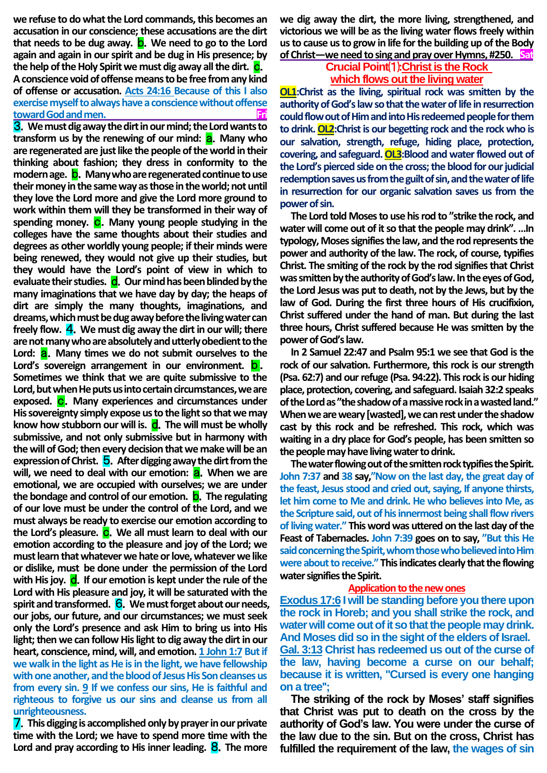**we refuse to do what the Lord commands, this becomes an accusation in our conscience; these accusations are the dirt that needs to be dug away.** b.**We need to go to the Lord again and again in our spirit and be dug in His presence; by**  the help of the Holy Spirit we must dig away all the dirt. **C**. **A conscience void of offense means to be free from any kind of offense or accusation. Acts 24:16 Because of this I also exercise myself to always have a conscience without offense toward God and men.** 

3.**We must dig away the dirt in our mind; the Lord wants to transform us by the renewing of our mind:** a.**Many who are regenerated are just like the people of the world in their thinking about fashion; they dress in conformity to the modern age.** b.**Many who are regenerated continue to use their money in the same way as those in the world; not until they love the Lord more and give the Lord more ground to work within them will they be transformed in their way of**  spending money. C. Many young people studying in the **colleges have the same thoughts about their studies and degrees as other worldly young people; if their minds were being renewed, they would not give up their studies, but they would have the Lord's point of view in which to evaluate their studies.** d.**Our mind has been blinded by the many imaginations that we have day by day; the heaps of dirt are simply the many thoughts, imaginations, and dreams, which must be dug away before the living water can freely flow.** 4.**We must dig away the dirt in our will; there are not many who are absolutely and utterly obedient to the**  Lord: **a.** Many times we do not submit ourselves to the Lord's sovereign arrangement in our environment. **D**. **Sometimes we think that we are quite submissive to the Lord, but when He puts us into certain circumstances, we are exposed.** c.**Many experiences and circumstances under His sovereignty simply expose us to the light so that we may**  know how stubborn our will is. **d**. The will must be wholly **submissive, and not only submissive but in harmony with the will of God; then every decision that we make will be an expression of Christ. 5.** After digging away the dirt from the will, we need to deal with our emotion: **a**. When we are **emotional, we are occupied with ourselves; we are under the bondage and control of our emotion.** b.**The regulating of our love must be under the control of the Lord, and we must always be ready to exercise our emotion according to**  the Lord's pleasure. C. We all must learn to deal with our **emotion according to the pleasure and joy of the Lord; we must learn that whatever we hate or love, whatever we like or dislike, must be done under the permission of the Lord**  with His joy. **d.** If our emotion is kept under the rule of the **Lord with His pleasure and joy, it will be saturated with the spirit and transformed.** 6.**We must forget about our needs, our jobs, our future, and our circumstances; we must seek only the Lord's presence and ask Him to bring us into His light; then we can follow His light to dig away the dirt in our heart, conscience, mind, will, and emotion. 1 John 1:7 But if we walk in the light as He is in the light, we have fellowship with one another, and the blood of Jesus His Son cleanses us from every sin. 9 If we confess our sins, He is faithful and righteous to forgive us our sins and cleanse us from all unrighteousness.**

7.**This digging is accomplished only by prayer in our private time with the Lord; we have to spend more time with the Lord and pray according to His inner leading.** 8.**The more**  **we dig away the dirt, the more living, strengthened, and victorious we will be as the living water flows freely within us to cause us to grow in life for the building up of the Body of Christ—we need to sing and pray over Hymns, #250. Sat**

# **CrucialPoint**⑴**:Christ is the Rock which flows out the living water**

**OL1:Christ as the living, spiritual rock was smitten by the authority of God's law so that the water of life in resurrection could flow out of Him and into His redeemed people for them to drink. OL2:Christ is our begetting rock and the rock who is our salvation, strength, refuge, hiding place, protection, covering, and safeguard. OL3:Blood and water flowed out of the Lord's pierced side on the cross; the blood for our judicial redemption saves us from the guilt of sin, and the water of life in resurrection for our organic salvation saves us from the power of sin.** 

**The Lord told Moses to use his rod to "strike the rock, and water will come out of it so that the people may drink". …In typology, Moses signifies the law, and the rod represents the power and authority of the law. The rock, of course, typifies Christ. The smiting of the rock by the rod signifies that Christ was smitten by the authority of God's law. In the eyes of God, the Lord Jesus was put to death, not by the Jews, but by the law of God. During the first three hours of His crucifixion, Christ suffered under the hand of man. But during the last three hours, Christ suffered because He was smitten by the power of God's law.**

**In 2 Samuel 22:47 and Psalm 95:1 we see that God is the rock of our salvation. Furthermore, this rock is our strength (Psa. 62:7) and our refuge (Psa. 94:22). This rock is our hiding place, protection, covering, and safeguard. Isaiah 32:2 speaks of the Lord as "the shadow of a massive rock in a wasted land." When we are weary [wasted], we can rest under the shadow cast by this rock and be refreshed. This rock, which was waiting in a dry place for God's people, has been smitten so the people may have living water to drink.**

**The water flowing out of the smitten rock typifies the Spirit. John 7:37 and 38 say,"Now on the last day, the great day of the feast, Jesus stood and cried out, saying, If anyone thirsts, let him come to Me and drink. He who believes into Me, as the Scripture said, out of his innermost being shall flow rivers of living water." This word was uttered on the last day of the Feast of Tabernacles. John 7:39 goes on to say, "But this He said concerning the Spirit, whom those who believed into Him were about to receive." This indicates clearly that the flowing water signifiesthe Spirit.**

#### **Application to the new ones**

**Exodus 17:6 I will be standing before you there upon the rock in Horeb; and you shall strike the rock, and water will come out of it so that the people may drink. And Moses did so in the sight of the elders of Israel. Gal. 3:13 Christ has redeemed us out of the curse of the law, having become a curse on our behalf; because it is written, "Cursed is every one hanging on a tree'';** 

**The striking of the rock by Moses' staff signifies that Christ was put to death on the cross by the authority of God's law. You were under the curse of the law due to the sin. But on the cross, Christ has fulfilled the requirement of the law, the wages of sin**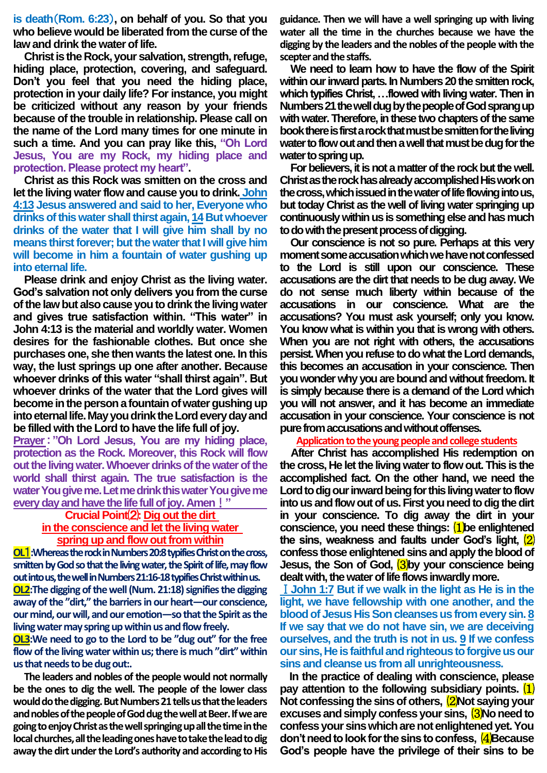**is death**(**Rom. 6:23**)**, on behalf of you. So that you who believe would be liberated from the curse of the law and drink the water of life.** 

**Christ is the Rock, your salvation, strength, refuge, hiding place, protection, covering, and safeguard. Don't you feel that you need the hiding place, protection in your daily life? For instance, you might be criticized without any reason by your friends because of the trouble in relationship. Please call on the name of the Lord many times for one minute in such a time. And you can pray like this, "Oh Lord Jesus, You are my Rock, my hiding place and protection. Please protect my heart".** 

**Christ as this Rock was smitten on the cross and let the living water flow and cause you to drink. John 4:13 Jesus answered and said to her, Everyone who drinks of this water shall thirst again, 14 But whoever drinks of the water that I will give him shall by no means thirst forever; but the water that I will give him will become in him a fountain of water gushing up into eternal life.** 

**Please drink and enjoy Christ as the living water. God's salvation not only delivers you from the curse of the law but also cause you to drink the living water and gives true satisfaction within. "This water" in John 4:13 is the material and worldly water. Women desires for the fashionable clothes. But once she purchases one, she then wants the latest one. In this way, the lust springs up one after another. Because whoever drinks of this water "shall thirst again". But whoever drinks of the water that the Lord gives will become in the person a fountain of water gushing up into eternal life.May you drink the Lord every day and be filled with the Lord to have the life full of joy.**

**Prayer**:**"Oh Lord Jesus, You are my hiding place, protection as the Rock. Moreover, this Rock will flow out the living water. Whoever drinks of the water of the world shall thirst again. The true satisfaction is the water You give me. Let me drink this water You give me every day and have the life full of joy. Amen**!**"** 

### **CrucialPoint**⑵**: Dig out the dirt**

# **in the conscience and let the living water spring up and flow out from within**

**OL**1**:Whereas the rock in Numbers 20:8 typifies Christ on the cross, smitten by God so that the living water, the Spirit of life, may flow out into us, the well in Numbers 21:16-18 typifies Christ within us. OL2:The digging of the well (Num. 21:18) signifies the digging away of the "dirt," the barriers in our heart—our conscience, our mind, our will, and our emotion—so that the Spirit as the living water may spring up within us and flow freely.** 

**OL3:We need to go to the Lord to be "dug out" for the free flow of the living water within us; there is much "dirt" within us that needs to be dug out:.** 

**The leaders and nobles of the people would not normally be the ones to dig the well. The people of the lower class**  would do the digging. But Numbers 21 tells us that the leaders **and nobles of the people of God dug the well at Beer. If we are going to enjoy Christ as the well springing up all the time in the local churches, all the leading ones have to take the lead to dig away the dirt under the Lord's authority and according to His** 

**guidance. Then we will have a well springing up with living water all the time in the churches because we have the digging by the leaders and the nobles of the people with the scepter and the staffs.**

**We need to learn how to have the flow of the Spirit within our inward parts. In Numbers 20 the smitten rock, which typifies Christ, …flowed with living water. Then in Numbers 21 the well dug by the people of God sprang up with water. Therefore, in these two chapters of the same book there is first a rock that must be smitten for the living water to flow out and then a well that must be dug for the water to spring up.**

**For believers, it is not a matter of the rock but the well. Christ as the rock has already accomplished His work on the cross, which issued in the water of life flowing into us, but today Christ as the well of living water springing up continuously within us is something else and has much to do with the present process of digging.**

**Our conscience is not so pure. Perhaps at this very moment some accusation which we have not confessed to the Lord is still upon our conscience. These accusations are the dirt that needs to be dug away. We do not sense much liberty within because of the accusations in our conscience. What are the accusations? You must ask yourself; only you know. You know what is within you that is wrong with others. When you are not right with others, the accusations persist. When you refuse to do what the Lord demands, this becomes an accusation in your conscience. Then you wonder why you are bound and without freedom. It is simply because there is a demand of the Lord which you will not answer, and it has become an immediate accusation in your conscience. Your conscience is not pure from accusations and without offenses.** 

**Application to the young people and college students**

**After Christ has accomplished His redemption on the cross, He let the living water to flow out. This is the accomplished fact. On the other hand, we need the Lord to dig our inward being for this living water to flow into us and flow out of us. First you need to dig the dirt in your conscience. To dig away the dirt in your conscience, you need these things:** ⑴**be enlightened the sins, weakness and faults under God's light,** ⑵ **confess those enlightened sins and apply the blood of Jesus, the Son of God,** ⑶**by your conscience being dealt with, the water of life flows inwardly more.** 

Ⅰ**John 1:7 But if we walk in the light as He is in the light, we have fellowship with one another, and the blood of Jesus His Son cleanses us from every sin. 8 If we say that we do not have sin, we are deceiving ourselves, and the truth is not in us. 9 If we confess our sins, He is faithful and righteous to forgive us our sins and cleanse us from all unrighteousness.** 

**In the practice of dealing with conscience, please pay attention to the following subsidiary points.** ⑴ **Not confessing the sins of others,**  $\frac{2}{2}$ **Not saying your excuses and simply confess your sins,** ⑶**No need to confess your sins which are not enlightened yet. You don't need to look for the sins to confess,** ⑷**Because God's people have the privilege of their sins to be**